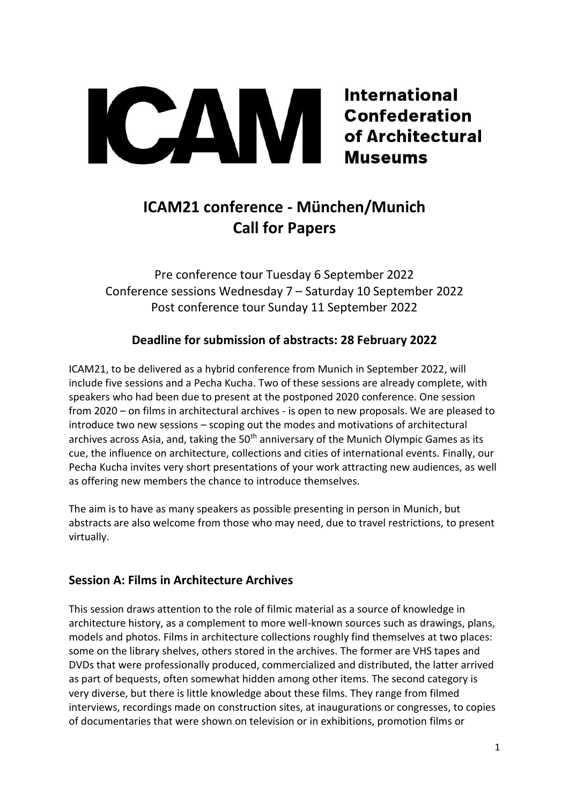**International Confederation** of Architectural **Museums** 

# **ICAM21 conference - München/Munich Call for Papers**

CAM

Pre conference tour Tuesday 6 September 2022 Conference sessions Wednesday 7 – Saturday 10 September 2022 Post conference tour Sunday 11 September 2022

## **Deadline for submission of abstracts: 28 February 2022**

ICAM21, to be delivered as a hybrid conference from Munich in September 2022, will include five sessions and a Pecha Kucha. Two of these sessions are already complete, with speakers who had been due to present at the postponed 2020 conference. One session from 2020 – on films in architectural archives - is open to new proposals. We are pleased to introduce two new sessions – scoping out the modes and motivations of architectural archives across Asia, and, taking the  $50<sup>th</sup>$  anniversary of the Munich Olympic Games as its cue, the influence on architecture, collections and cities of international events. Finally, our Pecha Kucha invites very short presentations of your work attracting new audiences, as well as offering new members the chance to introduce themselves.

The aim is to have as many speakers as possible presenting in person in Munich, but abstracts are also welcome from those who may need, due to travel restrictions, to present virtually.

## **Session A: Films in Architecture Archives**

This session draws attention to the role of filmic material as a source of knowledge in architecture history, as a complement to more well-known sources such as drawings, plans, models and photos. Films in architecture collections roughly find themselves at two places: some on the library shelves, others stored in the archives. The former are VHS tapes and DVDs that were professionally produced, commercialized and distributed, the latter arrived as part of bequests, often somewhat hidden among other items. The second category is very diverse, but there is little knowledge about these films. They range from filmed interviews, recordings made on construction sites, at inaugurations or congresses, to copies of documentaries that were shown on television or in exhibitions, promotion films or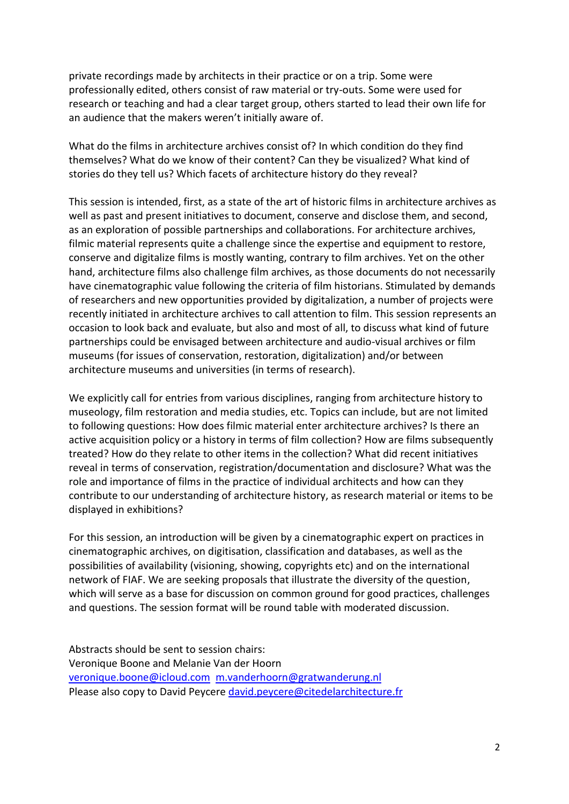private recordings made by architects in their practice or on a trip. Some were professionally edited, others consist of raw material or try-outs. Some were used for research or teaching and had a clear target group, others started to lead their own life for an audience that the makers weren't initially aware of.

What do the films in architecture archives consist of? In which condition do they find themselves? What do we know of their content? Can they be visualized? What kind of stories do they tell us? Which facets of architecture history do they reveal?

This session is intended, first, as a state of the art of historic films in architecture archives as well as past and present initiatives to document, conserve and disclose them, and second, as an exploration of possible partnerships and collaborations. For architecture archives, filmic material represents quite a challenge since the expertise and equipment to restore, conserve and digitalize films is mostly wanting, contrary to film archives. Yet on the other hand, architecture films also challenge film archives, as those documents do not necessarily have cinematographic value following the criteria of film historians. Stimulated by demands of researchers and new opportunities provided by digitalization, a number of projects were recently initiated in architecture archives to call attention to film. This session represents an occasion to look back and evaluate, but also and most of all, to discuss what kind of future partnerships could be envisaged between architecture and audio-visual archives or film museums (for issues of conservation, restoration, digitalization) and/or between architecture museums and universities (in terms of research).

We explicitly call for entries from various disciplines, ranging from architecture history to museology, film restoration and media studies, etc. Topics can include, but are not limited to following questions: How does filmic material enter architecture archives? Is there an active acquisition policy or a history in terms of film collection? How are films subsequently treated? How do they relate to other items in the collection? What did recent initiatives reveal in terms of conservation, registration/documentation and disclosure? What was the role and importance of films in the practice of individual architects and how can they contribute to our understanding of architecture history, as research material or items to be displayed in exhibitions?

For this session, an introduction will be given by a cinematographic expert on practices in cinematographic archives, on digitisation, classification and databases, as well as the possibilities of availability (visioning, showing, copyrights etc) and on the international network of FIAF. We are seeking proposals that illustrate the diversity of the question, which will serve as a base for discussion on common ground for good practices, challenges and questions. The session format will be round table with moderated discussion.

Abstracts should be sent to session chairs: Veronique Boone and Melanie Van der Hoorn [veronique.boone@icloud.com](mailto:veronique.boone@icloud.com) [m.vanderhoorn@gratwanderung.nl](mailto:m.vanderhoorn@gratwanderung.nl) Please also copy to David Peycere [david.peycere@citedelarchitecture.fr](mailto:david.peycere@citedelarchitecture.fr)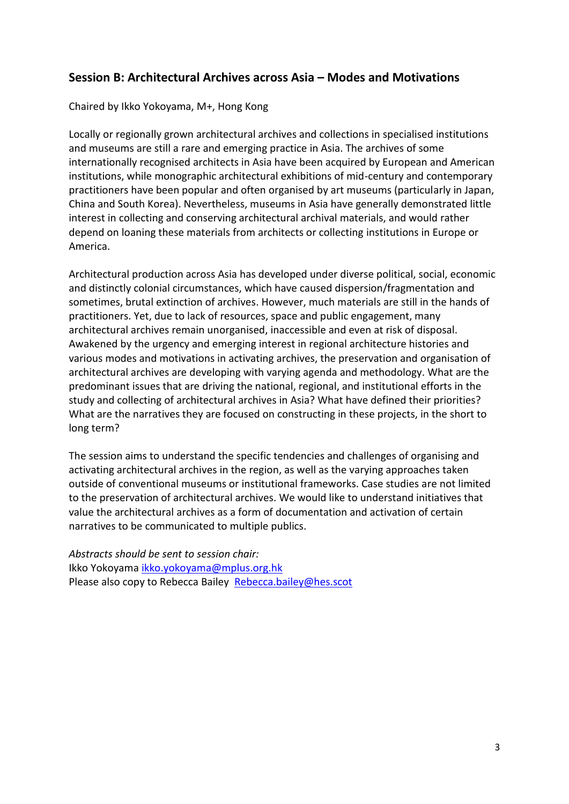## **Session B: Architectural Archives across Asia – Modes and Motivations**

#### Chaired by Ikko Yokoyama, M+, Hong Kong

Locally or regionally grown architectural archives and collections in specialised institutions and museums are still a rare and emerging practice in Asia. The archives of some internationally recognised architects in Asia have been acquired by European and American institutions, while monographic architectural exhibitions of mid-century and contemporary practitioners have been popular and often organised by art museums (particularly in Japan, China and South Korea). Nevertheless, museums in Asia have generally demonstrated little interest in collecting and conserving architectural archival materials, and would rather depend on loaning these materials from architects or collecting institutions in Europe or America.

Architectural production across Asia has developed under diverse political, social, economic and distinctly colonial circumstances, which have caused dispersion/fragmentation and sometimes, brutal extinction of archives. However, much materials are still in the hands of practitioners. Yet, due to lack of resources, space and public engagement, many architectural archives remain unorganised, inaccessible and even at risk of disposal. Awakened by the urgency and emerging interest in regional architecture histories and various modes and motivations in activating archives, the preservation and organisation of architectural archives are developing with varying agenda and methodology. What are the predominant issues that are driving the national, regional, and institutional efforts in the study and collecting of architectural archives in Asia? What have defined their priorities? What are the narratives they are focused on constructing in these projects, in the short to long term?

The session aims to understand the specific tendencies and challenges of organising and activating architectural archives in the region, as well as the varying approaches taken outside of conventional museums or institutional frameworks. Case studies are not limited to the preservation of architectural archives. We would like to understand initiatives that value the architectural archives as a form of documentation and activation of certain narratives to be communicated to multiple publics.

*Abstracts should be sent to session chair:*  Ikko Yokoyama [ikko.yokoyama@mplus.org.hk](mailto:ikko.yokoyama@mplus.org.hk)  Please also copy to Rebecca Bailey [Rebecca.bailey@hes.scot](mailto:Rebecca.bailey@hes.scot)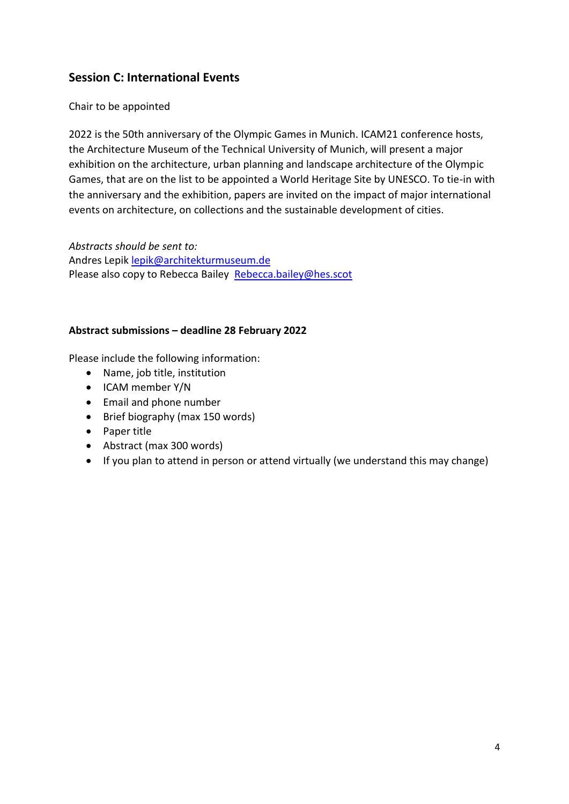## **Session C: International Events**

Chair to be appointed

2022 is the 50th anniversary of the Olympic Games in Munich. ICAM21 conference hosts, the Architecture Museum of the Technical University of Munich, will present a major exhibition on the architecture, urban planning and landscape architecture of the Olympic Games, that are on the list to be appointed a World Heritage Site by UNESCO. To tie-in with the anniversary and the exhibition, papers are invited on the impact of major international events on architecture, on collections and the sustainable development of cities.

*Abstracts should be sent to:*  Andres Lepik [lepik@architekturmuseum.de](mailto:lepik@architekturmuseum.de) Please also copy to Rebecca Bailey Rebecca.bailey@hes.scot

### **Abstract submissions – deadline 28 February 2022**

Please include the following information:

- Name, job title, institution
- ICAM member Y/N
- Email and phone number
- Brief biography (max 150 words)
- Paper title
- Abstract (max 300 words)
- If you plan to attend in person or attend virtually (we understand this may change)